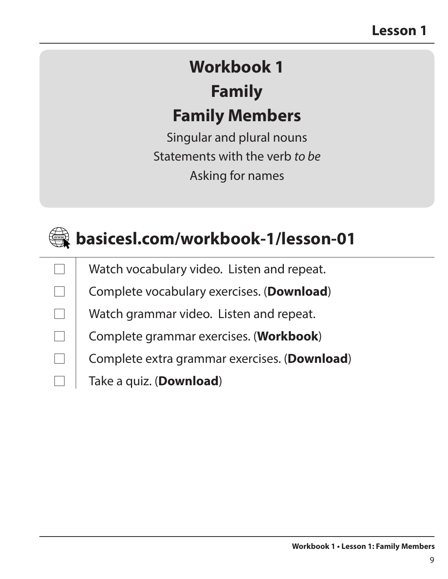# **Workbook 1 Family Family Members**

Singular and plural nouns Statements with the verb *to be* Asking for names



| Watch vocabulary video. Listen and repeat. |  |
|--------------------------------------------|--|
|--------------------------------------------|--|

| Complete vocabulary exercises. (Download) |  |  |  |
|-------------------------------------------|--|--|--|
|-------------------------------------------|--|--|--|

- Watch grammar video. Listen and repeat.
- Complete grammar exercises. (**Workbook**)
	- Complete extra grammar exercises. (**Download**)
	- Take a quiz. (**Download**)

 $\Box$ 

 $\Box$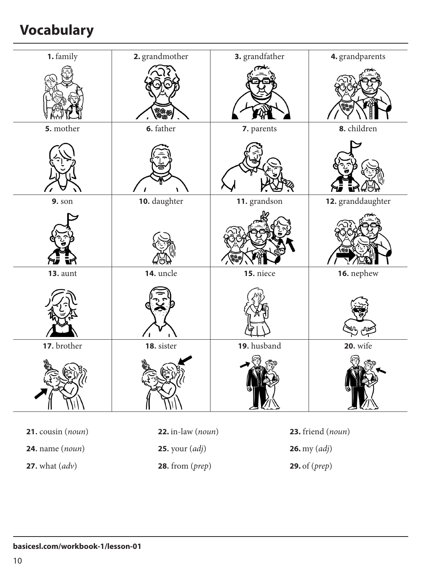# **Vocabulary**

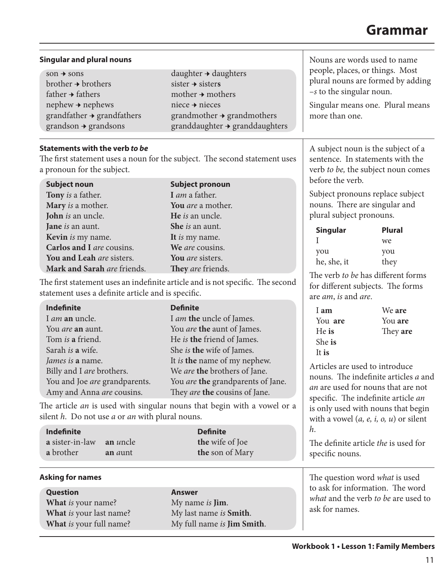#### **Grammar**

| <b>Singular and plural nouns</b>                                                                                                                                                                                     |                                                                                                                                                                                                                                                                                   | Nouns are words used to name                                                                                                                             |                                                                                                             |  |
|----------------------------------------------------------------------------------------------------------------------------------------------------------------------------------------------------------------------|-----------------------------------------------------------------------------------------------------------------------------------------------------------------------------------------------------------------------------------------------------------------------------------|----------------------------------------------------------------------------------------------------------------------------------------------------------|-------------------------------------------------------------------------------------------------------------|--|
| $son \rightarrow sons$<br>$b$ rother $\rightarrow$ brothers<br>father $\rightarrow$ fathers<br>$nephew + nephews$<br>$grandfather \rightarrow grandfather$<br>$grandson \rightarrow grandsons$                       | daughter $\rightarrow$ daughters<br>sister $\rightarrow$ sisters<br>mother $\rightarrow$ mothers<br>niece $\rightarrow$ nieces<br>$grandmother \rightarrow grandmothers$<br>granddaughter → granddaughters                                                                        | people, places, or things. Most<br>plural nouns are formed by adding<br>$-s$ to the singular noun.<br>Singular means one. Plural means<br>more than one. |                                                                                                             |  |
| <b>Statements with the verb to be</b><br>The first statement uses a noun for the subject. The second statement uses<br>a pronoun for the subject.                                                                    |                                                                                                                                                                                                                                                                                   | A subject noun is the subject of a<br>sentence. In statements with the<br>verb to be, the subject noun comes                                             |                                                                                                             |  |
| <b>Subject noun</b><br>Tony is a father.<br>Mary is a mother.<br>John is an uncle.<br>Jane is an aunt.<br>Kevin is my name.<br>Carlos and I are cousins.<br>You and Leah are sisters.<br>Mark and Sarah are friends. | <b>Subject pronoun</b><br>I am a father.<br>You are a mother.<br>He is an uncle.<br>She is an aunt.<br>It is my name.<br>We are cousins.<br>You are sisters.<br>They are friends.                                                                                                 | before the verb.<br>nouns. There are singular and<br>plural subject pronouns.<br><b>Singular</b><br>you<br>he, she, it                                   | Subject pronouns replace subject<br><b>Plural</b><br>we<br>you<br>they                                      |  |
| statement uses a definite article and is specific.                                                                                                                                                                   | The first statement uses an indefinite article and is not specific. The second                                                                                                                                                                                                    | are <i>am</i> , is and <i>are</i> .                                                                                                                      | The verb to be has different forms<br>for different subjects. The forms                                     |  |
| Indefinite<br>I <i>am</i> an uncle.<br>You are an aunt.<br>Tom is a friend.<br>Sarah is a wife.<br>James is a name.<br>Billy and I are brothers.<br>You and Joe are grandparents.<br>Amy and Anna are cousins.       | <b>Definite</b><br>I am the uncle of James.<br>You are the aunt of James.<br>He is the friend of James.<br>She is the wife of James.<br>It is the name of my nephew.<br>We are the brothers of Jane.<br>You <i>are</i> the grandparents of Jane.<br>They are the cousins of Jane. | I am<br>You are<br>He is<br>She is<br>It is<br>Articles are used to introduce                                                                            | We are<br>You are<br>They are<br>nouns. The indefinite articles a and<br>an are used for nouns that are not |  |
| The article <i>an</i> is used with singular nouns that begin with a vowel or a<br>silent $h$ . Do not use $a$ or $an$ with plural nouns.                                                                             |                                                                                                                                                                                                                                                                                   | specific. The indefinite article an<br>is only used with nouns that begin<br>with a vowel $(a, e, i, o, u)$ or silent                                    |                                                                                                             |  |
| <b>Indefinite</b><br>a sister-in-law<br>an <i>uncle</i><br>a brother<br>an aunt                                                                                                                                      | <b>Definite</b><br>the wife of Joe<br>the son of Mary                                                                                                                                                                                                                             | h.<br>The definite article the is used for<br>specific nouns.                                                                                            |                                                                                                             |  |
| <b>Asking for names</b>                                                                                                                                                                                              |                                                                                                                                                                                                                                                                                   |                                                                                                                                                          | The question word <i>what</i> is used                                                                       |  |
| Question<br>What is your name?<br>What is your last name?<br>What is your full name?                                                                                                                                 | Answer<br>My name is <b>Jim</b> .<br>My last name is Smith.<br>My full name is Jim Smith.                                                                                                                                                                                         | to ask for information. The word<br>what and the verb to be are used to<br>ask for names.                                                                |                                                                                                             |  |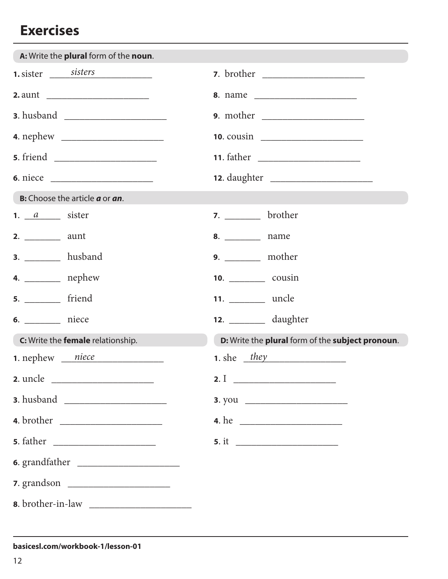| A: Write the plural form of the noun.                |                                                  |
|------------------------------------------------------|--------------------------------------------------|
| 1. sister sisters                                    |                                                  |
|                                                      | 8. name                                          |
|                                                      |                                                  |
|                                                      |                                                  |
|                                                      |                                                  |
|                                                      |                                                  |
| <b>B:</b> Choose the article <b>a</b> or <b>an</b> . |                                                  |
| 1. $a$ sister                                        | $7.$ brother                                     |
|                                                      |                                                  |
| <b>3.</b> ___________ husband                        | <b>9.</b> ___________ mother                     |
| 4. $\_\_\_\_\_\_\$ nephew                            | 10. _________________ cousin                     |
| <b>5.</b> __________ friend                          | 11. _________ uncle                              |
| 6. ___________ niece                                 | <b>12.</b> ___________ daughter                  |
| C: Write the female relationship.                    | D: Write the plural form of the subject pronoun. |
| <b>1.</b> nephew $niece$                             | $1.$ she $\frac{they}{.}$                        |
|                                                      | 2.1                                              |
|                                                      |                                                  |
|                                                      | 4. he                                            |
|                                                      |                                                  |
| 6. grandfather                                       |                                                  |
| 7. grandson                                          |                                                  |
|                                                      |                                                  |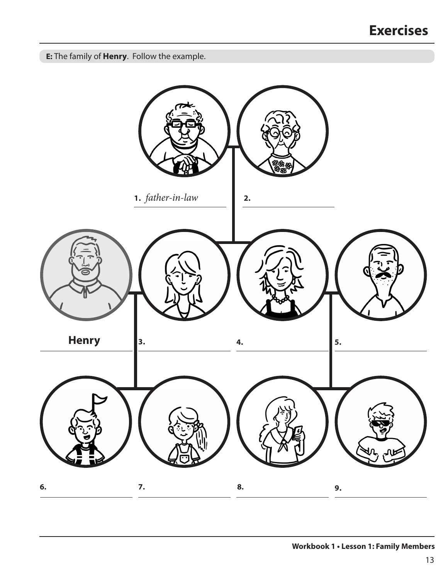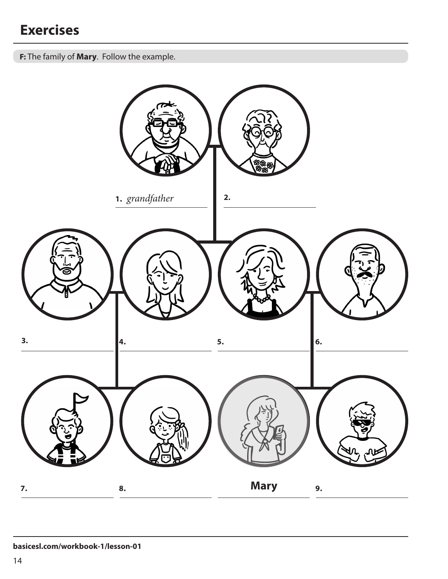**F:** The family of **Mary**. Follow the example.

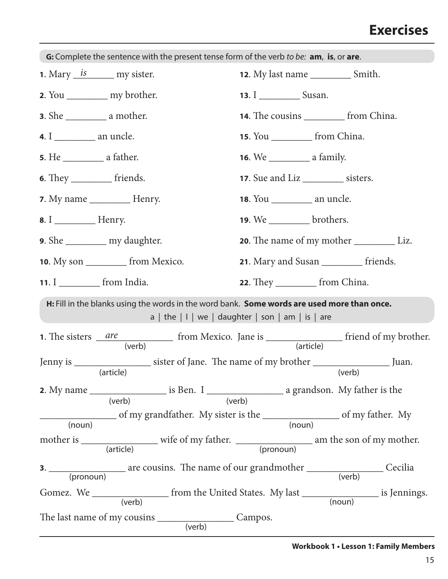| G: Complete the sentence with the present tense form of the verb to be: am, is, or are.                                                          |                                                 |  |  |
|--------------------------------------------------------------------------------------------------------------------------------------------------|-------------------------------------------------|--|--|
| <b>1.</b> Mary $\frac{is}{s}$ my sister.                                                                                                         | <b>12.</b> My last name ________________ Smith. |  |  |
| 2. You ____________ my brother.                                                                                                                  |                                                 |  |  |
|                                                                                                                                                  | <b>14.</b> The cousins ___________ from China.  |  |  |
|                                                                                                                                                  | <b>15.</b> You ______________ from China.       |  |  |
|                                                                                                                                                  |                                                 |  |  |
| 6. They ______________ friends.                                                                                                                  | 17. Sue and Liz ___________ sisters.            |  |  |
|                                                                                                                                                  |                                                 |  |  |
|                                                                                                                                                  | <b>19.</b> We ___________ brothers.             |  |  |
| 9. She ____________ my daughter.                                                                                                                 |                                                 |  |  |
| <b>10.</b> My son <u>________</u> from Mexico.                                                                                                   | 21. Mary and Susan __________ friends.          |  |  |
| 11. $I$ from India.                                                                                                                              | <b>22.</b> They ______________ from China.      |  |  |
| H: Fill in the blanks using the words in the word bank. Some words are used more than once.<br>a   the $ 1 $ we   daughter   son   am   is   are |                                                 |  |  |
|                                                                                                                                                  |                                                 |  |  |
| Jenny is _______________________ sister of Jane. The name of my brother ___________________________<br>(article)                                 | Juan.<br>(verb)                                 |  |  |
|                                                                                                                                                  |                                                 |  |  |
|                                                                                                                                                  |                                                 |  |  |
|                                                                                                                                                  |                                                 |  |  |
|                                                                                                                                                  |                                                 |  |  |
|                                                                                                                                                  |                                                 |  |  |
|                                                                                                                                                  |                                                 |  |  |

#### **Workbook 1 • Lesson 1: Family Members**